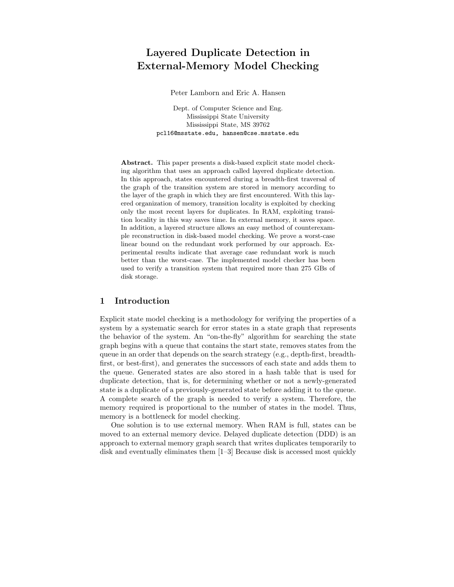# Layered Duplicate Detection in External-Memory Model Checking

Peter Lamborn and Eric A. Hansen

Dept. of Computer Science and Eng. Mississippi State University Mississippi State, MS 39762 pcl16@msstate.edu, hansen@cse.msstate.edu

Abstract. This paper presents a disk-based explicit state model checking algorithm that uses an approach called layered duplicate detection. In this approach, states encountered during a breadth-first traversal of the graph of the transition system are stored in memory according to the layer of the graph in which they are first encountered. With this layered organization of memory, transition locality is exploited by checking only the most recent layers for duplicates. In RAM, exploiting transition locality in this way saves time. In external memory, it saves space. In addition, a layered structure allows an easy method of counterexample reconstruction in disk-based model checking. We prove a worst-case linear bound on the redundant work performed by our approach. Experimental results indicate that average case redundant work is much better than the worst-case. The implemented model checker has been used to verify a transition system that required more than 275 GBs of disk storage.

# 1 Introduction

Explicit state model checking is a methodology for verifying the properties of a system by a systematic search for error states in a state graph that represents the behavior of the system. An "on-the-fly" algorithm for searching the state graph begins with a queue that contains the start state, removes states from the queue in an order that depends on the search strategy (e.g., depth-first, breadthfirst, or best-first), and generates the successors of each state and adds them to the queue. Generated states are also stored in a hash table that is used for duplicate detection, that is, for determining whether or not a newly-generated state is a duplicate of a previously-generated state before adding it to the queue. A complete search of the graph is needed to verify a system. Therefore, the memory required is proportional to the number of states in the model. Thus, memory is a bottleneck for model checking.

One solution is to use external memory. When RAM is full, states can be moved to an external memory device. Delayed duplicate detection (DDD) is an approach to external memory graph search that writes duplicates temporarily to disk and eventually eliminates them [1–3] Because disk is accessed most quickly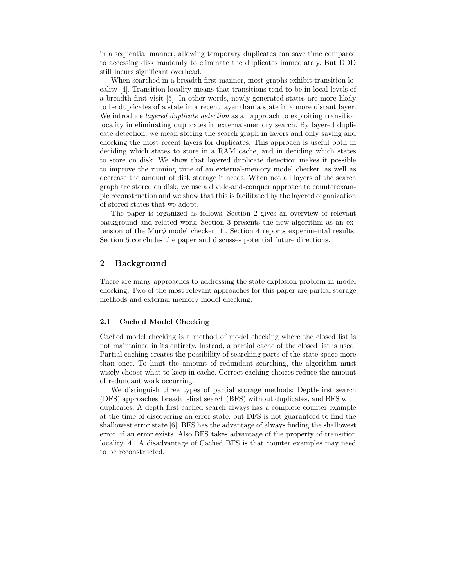in a sequential manner, allowing temporary duplicates can save time compared to accessing disk randomly to eliminate the duplicates immediately. But DDD still incurs significant overhead.

When searched in a breadth first manner, most graphs exhibit transition locality [4]. Transition locality means that transitions tend to be in local levels of a breadth first visit [5]. In other words, newly-generated states are more likely to be duplicates of a state in a recent layer than a state in a more distant layer. We introduce *layered duplicate detection* as an approach to exploiting transition locality in eliminating duplicates in external-memory search. By layered duplicate detection, we mean storing the search graph in layers and only saving and checking the most recent layers for duplicates. This approach is useful both in deciding which states to store in a RAM cache, and in deciding which states to store on disk. We show that layered duplicate detection makes it possible to improve the running time of an external-memory model checker, as well as decrease the amount of disk storage it needs. When not all layers of the search graph are stored on disk, we use a divide-and-conquer approach to counterexample reconstruction and we show that this is facilitated by the layered organization of stored states that we adopt.

The paper is organized as follows. Section 2 gives an overview of relevant background and related work. Section 3 presents the new algorithm as an extension of the Mur $\phi$  model checker [1]. Section 4 reports experimental results. Section 5 concludes the paper and discusses potential future directions.

# 2 Background

There are many approaches to addressing the state explosion problem in model checking. Two of the most relevant approaches for this paper are partial storage methods and external memory model checking.

#### 2.1 Cached Model Checking

Cached model checking is a method of model checking where the closed list is not maintained in its entirety. Instead, a partial cache of the closed list is used. Partial caching creates the possibility of searching parts of the state space more than once. To limit the amount of redundant searching, the algorithm must wisely choose what to keep in cache. Correct caching choices reduce the amount of redundant work occurring.

We distinguish three types of partial storage methods: Depth-first search (DFS) approaches, breadth-first search (BFS) without duplicates, and BFS with duplicates. A depth first cached search always has a complete counter example at the time of discovering an error state, but DFS is not guaranteed to find the shallowest error state [6]. BFS has the advantage of always finding the shallowest error, if an error exists. Also BFS takes advantage of the property of transition locality [4]. A disadvantage of Cached BFS is that counter examples may need to be reconstructed.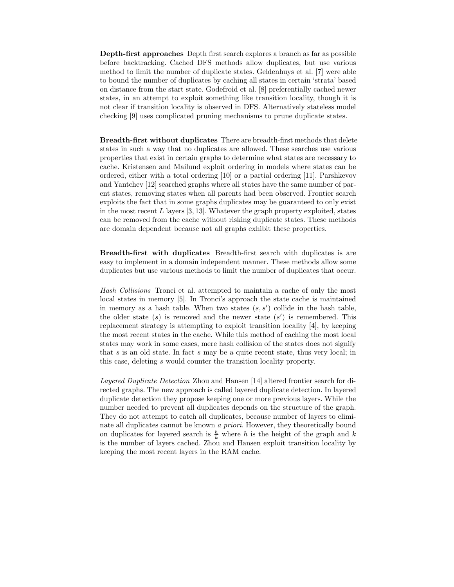Depth-first approaches Depth first search explores a branch as far as possible before backtracking. Cached DFS methods allow duplicates, but use various method to limit the number of duplicate states. Geldenhuys et al. [7] were able to bound the number of duplicates by caching all states in certain 'strata' based on distance from the start state. Godefroid et al. [8] preferentially cached newer states, in an attempt to exploit something like transition locality, though it is not clear if transition locality is observed in DFS. Alternatively stateless model checking [9] uses complicated pruning mechanisms to prune duplicate states.

Breadth-first without duplicates There are breadth-first methods that delete states in such a way that no duplicates are allowed. These searches use various properties that exist in certain graphs to determine what states are necessary to cache. Kristensen and Mailund exploit ordering in models where states can be ordered, either with a total ordering [10] or a partial ordering [11]. Parshkevov and Yantchev [12] searched graphs where all states have the same number of parent states, removing states when all parents had been observed. Frontier search exploits the fact that in some graphs duplicates may be guaranteed to only exist in the most recent  $L$  layers  $[3, 13]$ . Whatever the graph property exploited, states can be removed from the cache without risking duplicate states. These methods are domain dependent because not all graphs exhibit these properties.

Breadth-first with duplicates Breadth-first search with duplicates is are easy to implement in a domain independent manner. These methods allow some duplicates but use various methods to limit the number of duplicates that occur.

Hash Collisions Tronci et al. attempted to maintain a cache of only the most local states in memory [5]. In Tronci's approach the state cache is maintained in memory as a hash table. When two states  $(s, s')$  collide in the hash table, the older state  $(s)$  is removed and the newer state  $(s')$  is remembered. This replacement strategy is attempting to exploit transition locality [4], by keeping the most recent states in the cache. While this method of caching the most local states may work in some cases, mere hash collision of the states does not signify that s is an old state. In fact s may be a quite recent state, thus very local; in this case, deleting s would counter the transition locality property.

Layered Duplicate Detection Zhou and Hansen [14] altered frontier search for directed graphs. The new approach is called layered duplicate detection. In layered duplicate detection they propose keeping one or more previous layers. While the number needed to prevent all duplicates depends on the structure of the graph. They do not attempt to catch all duplicates, because number of layers to eliminate all duplicates cannot be known a priori. However, they theoretically bound on duplicates for layered search is  $\frac{h}{k}$  where h is the height of the graph and k is the number of layers cached. Zhou and Hansen exploit transition locality by keeping the most recent layers in the RAM cache.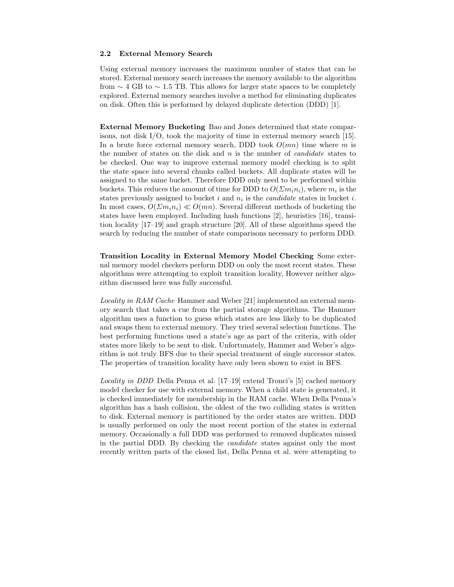#### 2.2 External Memory Search

Using external memory increases the maximum number of states that can be stored. External memory search increases the memory available to the algorithm from  $\sim$  4 GB to  $\sim$  1.5 TB. This allows for larger state spaces to be completely explored. External memory searches involve a method for eliminating duplicates on disk. Often this is performed by delayed duplicate detection (DDD) [1].

External Memory Bucketing Bao and Jones determined that state comparisons, not disk I/O, took the majority of time in external memory search [15]. In a brute force external memory search, DDD took  $O(mn)$  time where m is the number of states on the disk and  $n$  is the number of *candidate* states to be checked. One way to improve external memory model checking is to split the state space into several chunks called buckets. All duplicate states will be assigned to the same bucket. Therefore DDD only need to be performed within buckets. This reduces the amount of time for DDD to  $O(\Sigma m_i n_i)$ , where  $m_i$  is the states previously assigned to bucket i and  $n_i$  is the *candidate* states in bucket i. In most cases,  $O(\Sigma m_i n_i) \ll O(mn)$ . Several different methods of bucketing the states have been employed. Including hash functions [2], heuristics [16], transition locality [17–19] and graph structure [20]. All of these algorithms speed the search by reducing the number of state comparisons necessary to perform DDD.

Transition Locality in External Memory Model Checking Some external memory model checkers perform DDD on only the most recent states. These algorithms were attempting to exploit transition locality, However neither algorithm discussed here was fully successful.

Locality in RAM Cache Hammer and Weber [21] implemented an external memory search that takes a cue from the partial storage algorithms. The Hammer algorithm uses a function to guess which states are less likely to be duplicated and swaps them to external memory. They tried several selection functions. The best performing functions used a state's age as part of the criteria, with older states more likely to be sent to disk. Unfortunately, Hammer and Weber's algorithm is not truly BFS due to their special treatment of single successor states. The properties of transition locality have only been shown to exist in BFS.

Locality in DDD Della Penna et al. [17–19] extend Tronci's [5] cached memory model checker for use with external memory. When a child state is generated, it is checked immediately for membership in the RAM cache. When Della Penna's algorithm has a hash collision, the oldest of the two colliding states is written to disk. External memory is partitioned by the order states are written. DDD is usually performed on only the most recent portion of the states in external memory. Occasionally a full DDD was performed to removed duplicates missed in the partial DDD. By checking the candidate states against only the most recently written parts of the closed list, Della Penna et al. were attempting to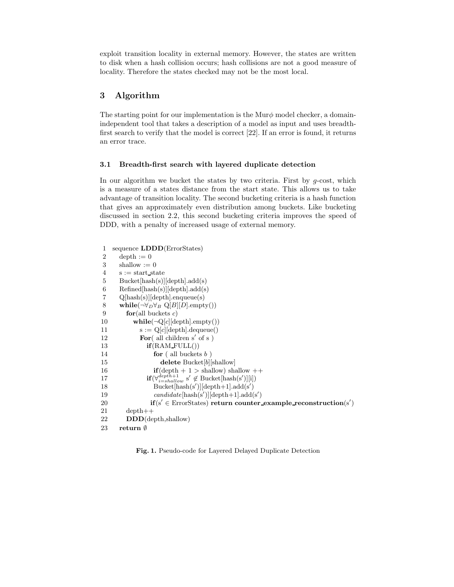exploit transition locality in external memory. However, the states are written to disk when a hash collision occurs; hash collisions are not a good measure of locality. Therefore the states checked may not be the most local.

# 3 Algorithm

The starting point for our implementation is the Mur $\phi$  model checker, a domainindependent tool that takes a description of a model as input and uses breadthfirst search to verify that the model is correct [22]. If an error is found, it returns an error trace.

# 3.1 Breadth-first search with layered duplicate detection

In our algorithm we bucket the states by two criteria. First by  $g\text{-cost}$ , which is a measure of a states distance from the start state. This allows us to take advantage of transition locality. The second bucketing criteria is a hash function that gives an approximately even distribution among buckets. Like bucketing discussed in section 2.2, this second bucketing criteria improves the speed of DDD, with a penalty of increased usage of external memory.

| 1              | sequence <b>LDDD</b> (ErrorStates)                                                    |
|----------------|---------------------------------------------------------------------------------------|
| $\overline{2}$ | $depth := 0$                                                                          |
| 3              | shallow $:= 0$                                                                        |
| 4              | $s := start\_state$                                                                   |
| 5              | Bucket[hash(s)][depth].add(s)                                                         |
| 6              | Refined[hash(s)][depth].add(s)                                                        |
| 7              | $Q[hash(s)][depth].$ enqueue(s)                                                       |
| 8              | while $(\neg \forall_D \forall_B Q[B][D].empty())$                                    |
| 9              | for(all buckets c)                                                                    |
| 10             | $\textbf{while}(\neg Q[c][\text{depth}].\text{empty}))$                               |
| 11             | $s := Q[c][depth].dequeue()$                                                          |
| 12             | For( $all$ children s' of s)                                                          |
| 13             | $if(RAM_FULL())$                                                                      |
| 14             | for $($ all buckets $b$ )                                                             |
| 15             | delete Bucket $[b]$ [shallow]                                                         |
| 16             | $\textbf{if}(\text{depth} + 1 > \text{shallow})$ shallow $++$                         |
| 17             | $\mathbf{if}(\forall_{i=shell}^{deph+1} s' \notin \text{Bucket}[\text{hash}(s')][i])$ |
| 18             | $Bucket[hash(s')] [depth+1].add(s')$                                                  |
| 19             | $candidate[hash(s')] [depth+1].add(s')$                                               |
| 20             | $\mathbf{if}(s' \in \text{ErrorStates})$ return counter example reconstruction(s')    |
| 21             | $depth++$                                                                             |
| 22             | $\mathbf{DDD}(\mathrm{depth}, \mathrm{shallow})$                                      |
| 23             | $return \emptyset$                                                                    |

Fig. 1. Pseudo-code for Layered Delayed Duplicate Detection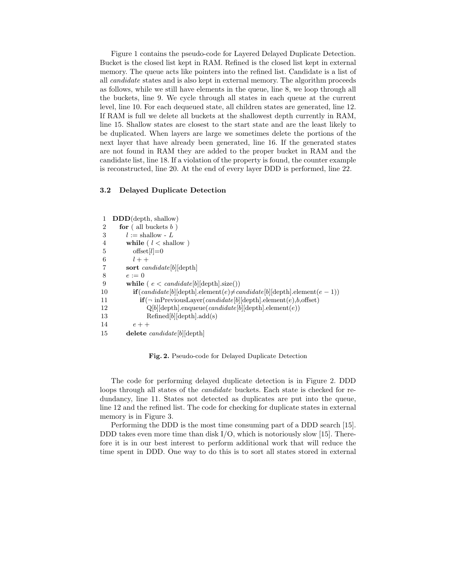Figure 1 contains the pseudo-code for Layered Delayed Duplicate Detection. Bucket is the closed list kept in RAM. Refined is the closed list kept in external memory. The queue acts like pointers into the refined list. Candidate is a list of all candidate states and is also kept in external memory. The algorithm proceeds as follows, while we still have elements in the queue, line 8, we loop through all the buckets, line 9. We cycle through all states in each queue at the current level, line 10. For each dequeued state, all children states are generated, line 12. If RAM is full we delete all buckets at the shallowest depth currently in RAM, line 15. Shallow states are closest to the start state and are the least likely to be duplicated. When layers are large we sometimes delete the portions of the next layer that have already been generated, line 16. If the generated states are not found in RAM they are added to the proper bucket in RAM and the candidate list, line 18. If a violation of the property is found, the counter example is reconstructed, line 20. At the end of every layer DDD is performed, line 22.

#### 3.2 Delayed Duplicate Detection

| 1              | $\mathbf{DDD}(\mathrm{depth}, \mathrm{shallow})$                                       |
|----------------|----------------------------------------------------------------------------------------|
| $\overline{2}$ | for $\left($ all buckets $b$ )                                                         |
| 3              | $l := \text{shallow} - L$                                                              |
| $\overline{4}$ | while ( $l <$ shallow)                                                                 |
| 5              | $offset[l]=0$                                                                          |
| 6              | $l + +$                                                                                |
| 7              | sort <i>candidate</i> [b] $\text{depth}$                                               |
| 8              | $e := 0$                                                                               |
| 9              | while ( $e < candidate[b][depth].size()$ )                                             |
| 10             | $\mathbf{if}(candidate[b][depth].element(e) \neq candidate[b][depth].element(e-1))$    |
| 11             | $\mathbf{if}(\neg \text{ inPreviousLayer}(candidate[b][depth].element(e), b, offset))$ |
| 12             | $Q[b][depth].$ enqueue $(candidate[b][depth].$ element $(e))$                          |
| 13             | Refined[b][depth].add(s)                                                               |
| 14             | $e + +$                                                                                |
| 15             | delete $candidate   b  $ depth                                                         |

Fig. 2. Pseudo-code for Delayed Duplicate Detection

The code for performing delayed duplicate detection is in Figure 2. DDD loops through all states of the *candidate* buckets. Each state is checked for redundancy, line 11. States not detected as duplicates are put into the queue, line 12 and the refined list. The code for checking for duplicate states in external memory is in Figure 3.

Performing the DDD is the most time consuming part of a DDD search [15]. DDD takes even more time than disk  $I/O$ , which is notoriously slow [15]. Therefore it is in our best interest to perform additional work that will reduce the time spent in DDD. One way to do this is to sort all states stored in external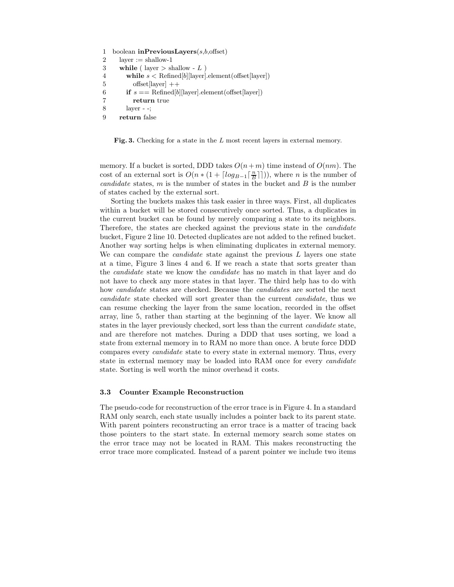```
1 boolean inPreviousLayers(s,b,offset)2 layer := shallow-1
3 while ( layer > shallow - L )
4 while s < Refined[b][layer].element(offset[layer])
5 offset[layer] ++6 if s == \text{Refined}[b][\text{layer}].\text{element}(\text{offset}[\text{layer}])7 return true
8 layer - -;
9 return false
```
Fig. 3. Checking for a state in the L most recent layers in external memory.

memory. If a bucket is sorted, DDD takes  $O(n+m)$  time instead of  $O(nm)$ . The cost of an external sort is  $O(n * (1 + \lceil log_{B-1} \lceil \frac{n}{B} \rceil))$ , where *n* is the number of candidate states,  $m$  is the number of states in the bucket and  $B$  is the number of states cached by the external sort.

Sorting the buckets makes this task easier in three ways. First, all duplicates within a bucket will be stored consecutively once sorted. Thus, a duplicates in the current bucket can be found by merely comparing a state to its neighbors. Therefore, the states are checked against the previous state in the candidate bucket, Figure 2 line 10. Detected duplicates are not added to the refined bucket. Another way sorting helps is when eliminating duplicates in external memory. We can compare the *candidate* state against the previous  $L$  layers one state at a time, Figure 3 lines 4 and 6. If we reach a state that sorts greater than the candidate state we know the candidate has no match in that layer and do not have to check any more states in that layer. The third help has to do with how candidate states are checked. Because the candidates are sorted the next candidate state checked will sort greater than the current candidate, thus we can resume checking the layer from the same location, recorded in the offset array, line 5, rather than starting at the beginning of the layer. We know all states in the layer previously checked, sort less than the current candidate state, and are therefore not matches. During a DDD that uses sorting, we load a state from external memory in to RAM no more than once. A brute force DDD compares every candidate state to every state in external memory. Thus, every state in external memory may be loaded into RAM once for every *candidate* state. Sorting is well worth the minor overhead it costs.

#### 3.3 Counter Example Reconstruction

The pseudo-code for reconstruction of the error trace is in Figure 4. In a standard RAM only search, each state usually includes a pointer back to its parent state. With parent pointers reconstructing an error trace is a matter of tracing back those pointers to the start state. In external memory search some states on the error trace may not be located in RAM. This makes reconstructing the error trace more complicated. Instead of a parent pointer we include two items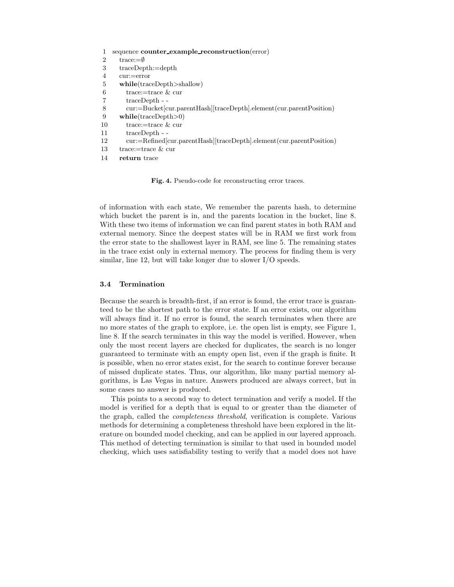|                | sequence counter_example_reconstruction(error)                            |
|----------------|---------------------------------------------------------------------------|
| $\overline{2}$ | trace:= $\emptyset$                                                       |
| 3              | $traceDepth:=depth$                                                       |
| 4              | $cur:=error$                                                              |
| 5              | while (traceDepth > shallow)                                              |
| 6              | trace:=trace $\&$ cur                                                     |
|                | $traceDepth - -$                                                          |
| 8              | cur:=Bucket[cur.parentHash][traceDepth].element(cur.parentPosition)       |
| 9              | while (traceDepth>0)                                                      |
| 10             | trace:=trace $\&$ cur                                                     |
| 11             | $traceDepth - -$                                                          |
| 12             | $cur:=Refined[cur.parentHash] [traceDepth].element (cur.parent Position)$ |
| 13             | trace:=trace $\&$ cur                                                     |
| 14             | return trace                                                              |
|                |                                                                           |

Fig. 4. Pseudo-code for reconstructing error traces.

of information with each state, We remember the parents hash, to determine which bucket the parent is in, and the parents location in the bucket, line 8. With these two items of information we can find parent states in both RAM and external memory. Since the deepest states will be in RAM we first work from the error state to the shallowest layer in RAM, see line 5. The remaining states in the trace exist only in external memory. The process for finding them is very similar, line 12, but will take longer due to slower I/O speeds.

#### 3.4 Termination

Because the search is breadth-first, if an error is found, the error trace is guaranteed to be the shortest path to the error state. If an error exists, our algorithm will always find it. If no error is found, the search terminates when there are no more states of the graph to explore, i.e. the open list is empty, see Figure 1, line 8. If the search terminates in this way the model is verified. However, when only the most recent layers are checked for duplicates, the search is no longer guaranteed to terminate with an empty open list, even if the graph is finite. It is possible, when no error states exist, for the search to continue forever because of missed duplicate states. Thus, our algorithm, like many partial memory algorithms, is Las Vegas in nature. Answers produced are always correct, but in some cases no answer is produced.

This points to a second way to detect termination and verify a model. If the model is verified for a depth that is equal to or greater than the diameter of the graph, called the completeness threshold, verification is complete. Various methods for determining a completeness threshold have been explored in the literature on bounded model checking, and can be applied in our layered approach. This method of detecting termination is similar to that used in bounded model checking, which uses satisfiability testing to verify that a model does not have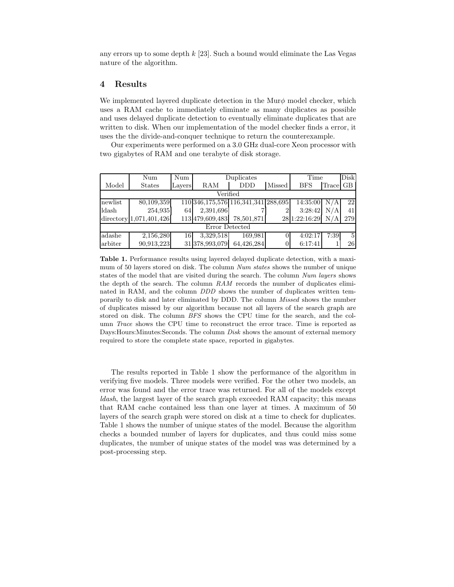any errors up to some depth k [23]. Such a bound would eliminate the Las Vegas nature of the algorithm.

# 4 Results

We implemented layered duplicate detection in the Mur $\phi$  model checker, which uses a RAM cache to immediately eliminate as many duplicates as possible and uses delayed duplicate detection to eventually eliminate duplicates that are written to disk. When our implementation of the model checker finds a error, it uses the the divide-and-conquer technique to return the counterexample.

Our experiments were performed on a 3.0 GHz dual-core Xeon processor with two gigabytes of RAM and one terabyte of disk storage.

|                | Num                     | Num    | Duplicates                               |            | Time          |               | Disk  |                |
|----------------|-------------------------|--------|------------------------------------------|------------|---------------|---------------|-------|----------------|
| Model          | <b>States</b>           | Layers | RAM                                      | <b>DDD</b> | <b>Missed</b> | <b>BFS</b>    | Trace | GB             |
| Verified       |                         |        |                                          |            |               |               |       |                |
| newlist        | 80,109,359              |        | 110 346, 175, 576 116, 341, 341 288, 695 |            |               | 14:35:00      | N/A   | 22             |
| ldash          | 254,935                 | 64     | 2,391,696                                |            |               | 3:28:42       | N/A   | 41             |
|                | directory 1,071,401,426 |        | 113 479,609,483                          | 78,501,871 |               | 28 1:22:16:29 | N/A   | 279            |
| Error Detected |                         |        |                                          |            |               |               |       |                |
| adashe         | 2,156,280               | 16     | 3,329,518                                | 169,981    |               | 4:02:17       | 7:39  | $\overline{5}$ |
| arbiter        | 90,913,223              |        | 31 378,993,079                           | 64,426,284 |               | 6:17:41       |       | 26             |

Table 1. Performance results using layered delayed duplicate detection, with a maximum of 50 layers stored on disk. The column Num states shows the number of unique states of the model that are visited during the search. The column Num layers shows the depth of the search. The column  $RAM$  records the number of duplicates eliminated in RAM, and the column *DDD* shows the number of duplicates written temporarily to disk and later eliminated by DDD. The column Missed shows the number of duplicates missed by our algorithm because not all layers of the search graph are stored on disk. The column BFS shows the CPU time for the search, and the column Trace shows the CPU time to reconstruct the error trace. Time is reported as Days: Hours: Minutes: Seconds. The column *Disk* shows the amount of external memory required to store the complete state space, reported in gigabytes.

The results reported in Table 1 show the performance of the algorithm in verifying five models. Three models were verified. For the other two models, an error was found and the error trace was returned. For all of the models except ldash, the largest layer of the search graph exceeded RAM capacity; this means that RAM cache contained less than one layer at times. A maximum of 50 layers of the search graph were stored on disk at a time to check for duplicates. Table 1 shows the number of unique states of the model. Because the algorithm checks a bounded number of layers for duplicates, and thus could miss some duplicates, the number of unique states of the model was was determined by a post-processing step.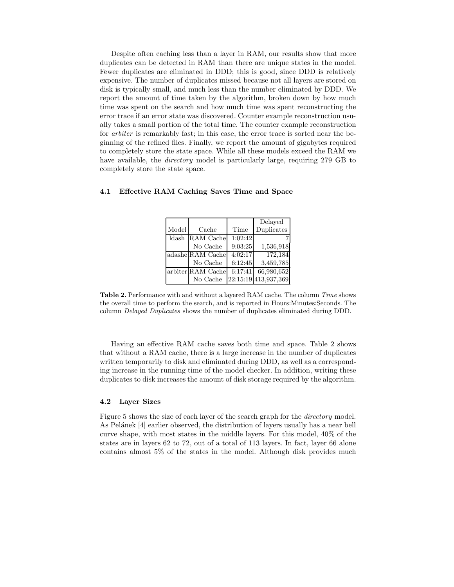Despite often caching less than a layer in RAM, our results show that more duplicates can be detected in RAM than there are unique states in the model. Fewer duplicates are eliminated in DDD; this is good, since DDD is relatively expensive. The number of duplicates missed because not all layers are stored on disk is typically small, and much less than the number eliminated by DDD. We report the amount of time taken by the algorithm, broken down by how much time was spent on the search and how much time was spent reconstructing the error trace if an error state was discovered. Counter example reconstruction usually takes a small portion of the total time. The counter example reconstruction for *arbiter* is remarkably fast; in this case, the error trace is sorted near the beginning of the refined files. Finally, we report the amount of gigabytes required to completely store the state space. While all these models exceed the RAM we have available, the *directory* model is particularly large, requiring 279 GB to completely store the state space.

|       |                   |         | Delayed              |
|-------|-------------------|---------|----------------------|
| Model | Cache             | Time    | Duplicates           |
|       | Idash RAM Cache   | 1:02:42 |                      |
|       | No Cache          | 9:03:25 | 1,536,918            |
|       | adashe RAM Cache  | 4:02:17 | 172,184              |
|       | No Cache          | 6:12:45 | 3,459,785            |
|       | arbiter RAM Cache | 6:17:41 | 66,980,652           |
|       | No Cache          |         | 22:15:19 413,937,369 |

#### 4.1 Effective RAM Caching Saves Time and Space

Table 2. Performance with and without a layered RAM cache. The column Time shows the overall time to perform the search, and is reported in Hours:Minutes:Seconds. The column Delayed Duplicates shows the number of duplicates eliminated during DDD.

Having an effective RAM cache saves both time and space. Table 2 shows that without a RAM cache, there is a large increase in the number of duplicates written temporarily to disk and eliminated during DDD, as well as a corresponding increase in the running time of the model checker. In addition, writing these duplicates to disk increases the amount of disk storage required by the algorithm.

### 4.2 Layer Sizes

Figure 5 shows the size of each layer of the search graph for the directory model. As Pelánek [4] earlier observed, the distribution of layers usually has a near bell curve shape, with most states in the middle layers. For this model, 40% of the states are in layers 62 to 72, out of a total of 113 layers. In fact, layer 66 alone contains almost 5% of the states in the model. Although disk provides much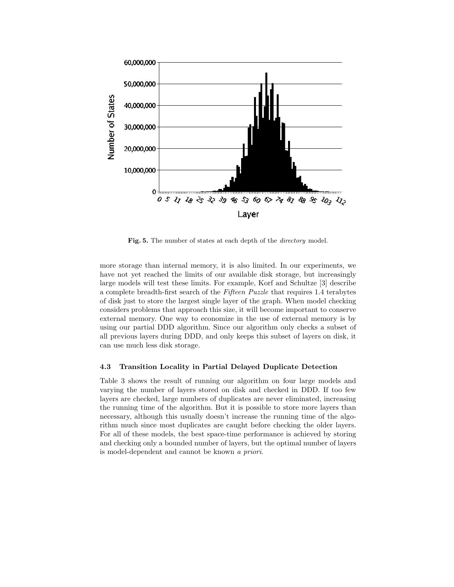

Fig. 5. The number of states at each depth of the directory model.

more storage than internal memory, it is also limited. In our experiments, we have not yet reached the limits of our available disk storage, but increasingly large models will test these limits. For example, Korf and Schultze [3] describe a complete breadth-first search of the Fifteen Puzzle that requires 1.4 terabytes of disk just to store the largest single layer of the graph. When model checking considers problems that approach this size, it will become important to conserve external memory. One way to economize in the use of external memory is by using our partial DDD algorithm. Since our algorithm only checks a subset of all previous layers during DDD, and only keeps this subset of layers on disk, it can use much less disk storage.

#### 4.3 Transition Locality in Partial Delayed Duplicate Detection

Table 3 shows the result of running our algorithm on four large models and varying the number of layers stored on disk and checked in DDD. If too few layers are checked, large numbers of duplicates are never eliminated, increasing the running time of the algorithm. But it is possible to store more layers than necessary, although this usually doesn't increase the running time of the algorithm much since most duplicates are caught before checking the older layers. For all of these models, the best space-time performance is achieved by storing and checking only a bounded number of layers, but the optimal number of layers is model-dependent and cannot be known a priori.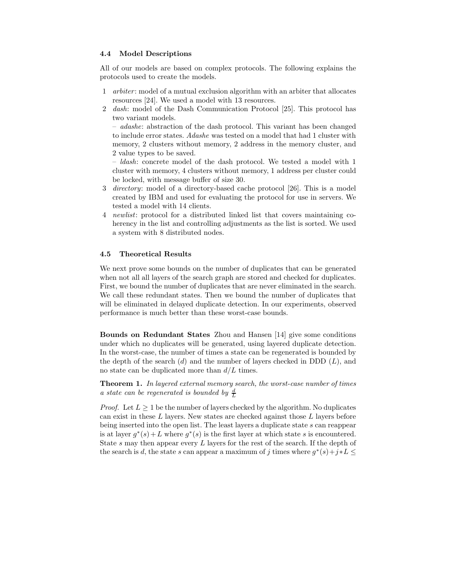#### 4.4 Model Descriptions

All of our models are based on complex protocols. The following explains the protocols used to create the models.

- 1 arbiter : model of a mutual exclusion algorithm with an arbiter that allocates resources [24]. We used a model with 13 resources.
- 2 dash: model of the Dash Communication Protocol [25]. This protocol has two variant models.

– adashe: abstraction of the dash protocol. This variant has been changed to include error states. Adashe was tested on a model that had 1 cluster with memory, 2 clusters without memory, 2 address in the memory cluster, and 2 value types to be saved.

– ldash: concrete model of the dash protocol. We tested a model with 1 cluster with memory, 4 clusters without memory, 1 address per cluster could be locked, with message buffer of size 30.

- 3 directory: model of a directory-based cache protocol [26]. This is a model created by IBM and used for evaluating the protocol for use in servers. We tested a model with 14 clients.
- 4 newlist: protocol for a distributed linked list that covers maintaining coherency in the list and controlling adjustments as the list is sorted. We used a system with 8 distributed nodes.

#### 4.5 Theoretical Results

We next prove some bounds on the number of duplicates that can be generated when not all all layers of the search graph are stored and checked for duplicates. First, we bound the number of duplicates that are never eliminated in the search. We call these redundant states. Then we bound the number of duplicates that will be eliminated in delayed duplicate detection. In our experiments, observed performance is much better than these worst-case bounds.

Bounds on Redundant States Zhou and Hansen [14] give some conditions under which no duplicates will be generated, using layered duplicate detection. In the worst-case, the number of times a state can be regenerated is bounded by the depth of the search  $(d)$  and the number of layers checked in DDD  $(L)$ , and no state can be duplicated more than  $d/L$  times.

Theorem 1. In layered external memory search, the worst-case number of times a state can be regenerated is bounded by  $\frac{d}{L}$ 

*Proof.* Let  $L \geq 1$  be the number of layers checked by the algorithm. No duplicates can exist in these  $L$  layers. New states are checked against those  $L$  layers before being inserted into the open list. The least layers a duplicate state s can reappear is at layer  $g^*(s) + L$  where  $g^*(s)$  is the first layer at which state s is encountered. State s may then appear every L layers for the rest of the search. If the depth of the search is d, the state s can appear a maximum of j times where  $g^*(s) + j * L \leq$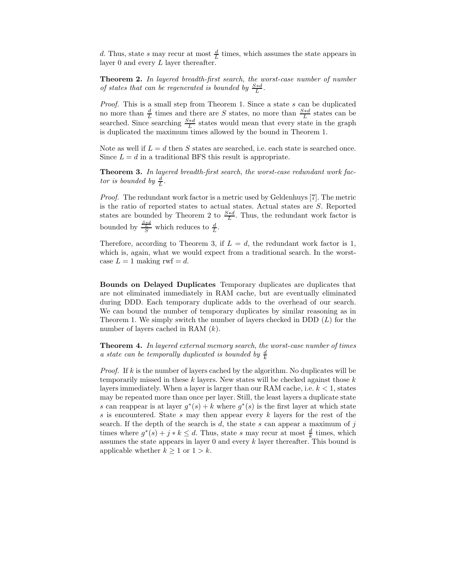d. Thus, state s may recur at most  $\frac{d}{L}$  times, which assumes the state appears in layer 0 and every L layer thereafter.

Theorem 2. In layered breadth-first search, the worst-case number of number of states that can be regenerated is bounded by  $\frac{S*A}{L}$ .

Proof. This is a small step from Theorem 1. Since a state s can be duplicated no more than  $\frac{d}{L}$  times and there are S states, no more than  $\frac{S*d}{L}$  states can be searched. Since searching  $\frac{S * d}{L}$  states would mean that every state in the graph is duplicated the maximum times allowed by the bound in Theorem 1.

Note as well if  $L = d$  then S states are searched, i.e. each state is searched once. Since  $L = d$  in a traditional BFS this result is appropriate.

Theorem 3. In layered breadth-first search, the worst-case redundant work factor is bounded by  $\frac{d}{L}$ .

Proof. The redundant work factor is a metric used by Geldenhuys [7]. The metric is the ratio of reported states to actual states. Actual states are S. Reported states are bounded by Theorem 2 to  $\frac{S*d}{L}$ . Thus, the redundant work factor is bounded by  $\frac{\frac{S*d}{L}}{S}$  which reduces to  $\frac{d}{L}$ .

Therefore, according to Theorem 3, if  $L = d$ , the redundant work factor is 1, which is, again, what we would expect from a traditional search. In the worstcase  $L = 1$  making rwf = d.

Bounds on Delayed Duplicates Temporary duplicates are duplicates that are not eliminated immediately in RAM cache, but are eventually eliminated during DDD. Each temporary duplicate adds to the overhead of our search. We can bound the number of temporary duplicates by similar reasoning as in Theorem 1. We simply switch the number of layers checked in DDD  $(L)$  for the number of layers cached in RAM (k).

Theorem 4. In layered external memory search, the worst-case number of times a state can be temporally duplicated is bounded by  $\frac{d}{k}$ 

*Proof.* If  $k$  is the number of layers cached by the algorithm. No duplicates will be temporarily missed in these  $k$  layers. New states will be checked against those  $k$ layers immediately. When a layer is larger than our RAM cache, i.e.  $k < 1$ , states may be repeated more than once per layer. Still, the least layers a duplicate state s can reappear is at layer  $g^*(s) + k$  where  $g^*(s)$  is the first layer at which state s is encountered. State s may then appear every  $k$  layers for the rest of the search. If the depth of the search is  $d$ , the state  $s$  can appear a maximum of  $j$ times where  $g^*(s) + j * k \leq d$ . Thus, state s may recur at most  $\frac{d}{k}$  times, which assumes the state appears in layer  $0$  and every  $k$  layer thereafter. This bound is applicable whether  $k \geq 1$  or  $1 > k$ .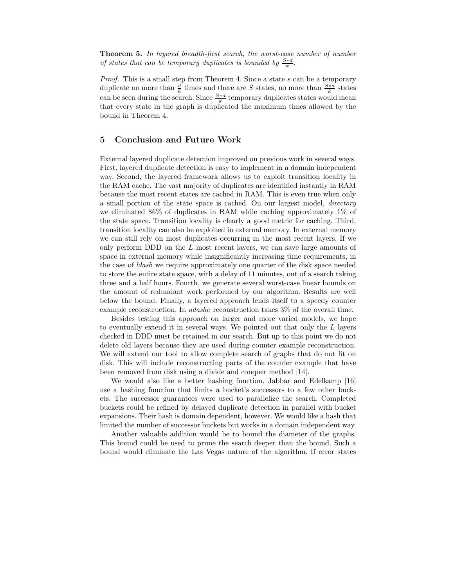Theorem 5. In layered breadth-first search, the worst-case number of number of states that can be temporary duplicates is bounded by  $\frac{S*d}{k}$ .

Proof. This is a small step from Theorem 4. Since a state s can be a temporary duplicate no more than  $\frac{d}{k}$  times and there are S states, no more than  $\frac{S*d}{k}$  states can be seen during the search. Since  $\frac{S * d}{k}$  temporary duplicates states would mean that every state in the graph is duplicated the maximum times allowed by the bound in Theorem 4.

# 5 Conclusion and Future Work

External layered duplicate detection improved on previous work in several ways. First, layered duplicate detection is easy to implement in a domain independent way. Second, the layered framework allows us to exploit transition locality in the RAM cache. The vast majority of duplicates are identified instantly in RAM because the most recent states are cached in RAM. This is even true when only a small portion of the state space is cached. On our largest model, directory we eliminated 86% of duplicates in RAM while caching approximately 1% of the state space. Transition locality is clearly a good metric for caching. Third, transition locality can also be exploited in external memory. In external memory we can still rely on most duplicates occurring in the most recent layers. If we only perform DDD on the  $L$  most recent layers, we can save large amounts of space in external memory while insignificantly increasing time requirements, in the case of ldash we require approximately one quarter of the disk space needed to store the entire state space, with a delay of 11 minutes, out of a search taking three and a half hours. Fourth, we generate several worst-case linear bounds on the amount of redundant work performed by our algorithm. Results are well below the bound. Finally, a layered approach lends itself to a speedy counter example reconstruction. In adashe reconstruction takes 3% of the overall time.

Besides testing this approach on larger and more varied models, we hope to eventually extend it in several ways. We pointed out that only the L layers checked in DDD must be retained in our search. But up to this point we do not delete old layers because they are used during counter example reconstruction. We will extend our tool to allow complete search of graphs that do not fit on disk. This will include reconstructing parts of the counter example that have been removed from disk using a divide and conquer method [14].

We would also like a better hashing function. Jabbar and Edelkamp [16] use a hashing function that limits a bucket's successors to a few other buckets. The successor guarantees were used to parallelize the search. Completed buckets could be refined by delayed duplicate detection in parallel with bucket expansions. Their hash is domain dependent, however. We would like a hash that limited the number of successor buckets but works in a domain independent way.

Another valuable addition would be to bound the diameter of the graphs. This bound could be used to prune the search deeper than the bound. Such a bound would eliminate the Las Vegas nature of the algorithm. If error states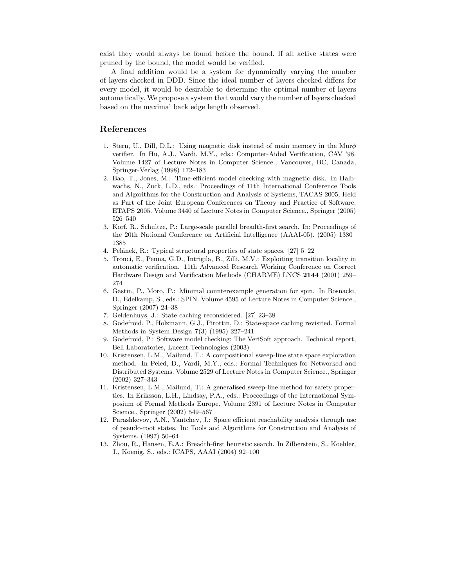exist they would always be found before the bound. If all active states were pruned by the bound, the model would be verified.

A final addition would be a system for dynamically varying the number of layers checked in DDD. Since the ideal number of layers checked differs for every model, it would be desirable to determine the optimal number of layers automatically. We propose a system that would vary the number of layers checked based on the maximal back edge length observed.

## References

- 1. Stern, U., Dill, D.L.: Using magnetic disk instead of main memory in the Mur $\phi$ verifier. In Hu, A.J., Vardi, M.Y., eds.: Computer-Aided Verification, CAV '98. Volume 1427 of Lecture Notes in Computer Science., Vancouver, BC, Canada, Springer-Verlag (1998) 172–183
- 2. Bao, T., Jones, M.: Time-efficient model checking with magnetic disk. In Halbwachs, N., Zuck, L.D., eds.: Proceedings of 11th International Conference Tools and Algorithms for the Construction and Analysis of Systems, TACAS 2005, Held as Part of the Joint European Conferences on Theory and Practice of Software, ETAPS 2005. Volume 3440 of Lecture Notes in Computer Science., Springer (2005) 526–540
- 3. Korf, R., Schultze, P.: Large-scale parallel breadth-first search. In: Proceedings of the 20th National Conference on Artificial Intelligence (AAAI-05). (2005) 1380– 1385
- 4. Pelánek, R.: Typical structural properties of state spaces. [27] 5–22
- 5. Tronci, E., Penna, G.D., Intrigila, B., Zilli, M.V.: Exploiting transition locality in automatic verification. 11th Advanced Research Working Conference on Correct Hardware Design and Verification Methods (CHARME) LNCS 2144 (2001) 259– 274
- 6. Gastin, P., Moro, P.: Minimal counterexample generation for spin. In Bosnacki, D., Edelkamp, S., eds.: SPIN. Volume 4595 of Lecture Notes in Computer Science., Springer (2007) 24–38
- 7. Geldenhuys, J.: State caching reconsidered. [27] 23–38
- 8. Godefroid, P., Holzmann, G.J., Pirottin, D.: State-space caching revisited. Formal Methods in System Design 7(3) (1995) 227–241
- 9. Godefroid, P.: Software model checking: The VeriSoft approach. Technical report, Bell Laboratories, Lucent Technologies (2003)
- 10. Kristensen, L.M., Mailund, T.: A compositional sweep-line state space exploration method. In Peled, D., Vardi, M.Y., eds.: Formal Techniques for Networked and Distributed Systems. Volume 2529 of Lecture Notes in Computer Science., Springer (2002) 327–343
- 11. Kristensen, L.M., Mailund, T.: A generalised sweep-line method for safety properties. In Eriksson, L.H., Lindsay, P.A., eds.: Proceedings of the International Symposium of Formal Methods Europe. Volume 2391 of Lecture Notes in Computer Science., Springer (2002) 549–567
- 12. Parashkevov, A.N., Yantchev, J.: Space efficient reachability analysis through use of pseudo-root states. In: Tools and Algorithms for Construction and Analysis of Systems. (1997) 50–64
- 13. Zhou, R., Hansen, E.A.: Breadth-first heuristic search. In Zilberstein, S., Koehler, J., Koenig, S., eds.: ICAPS, AAAI (2004) 92–100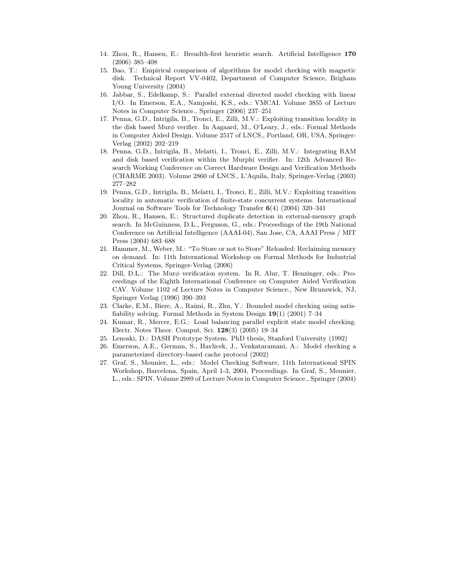- 14. Zhou, R., Hansen, E.: Breadth-first heuristic search. Artificial Intelligence 170 (2006) 385–408
- 15. Bao, T.: Empirical comparison of algorithms for model checking with magnetic disk. Technical Report VV-0402, Department of Computer Science, Brigham Young University (2004)
- 16. Jabbar, S., Edelkamp, S.: Parallel external directed model checking with linear I/O. In Emerson, E.A., Namjoshi, K.S., eds.: VMCAI. Volume 3855 of Lecture Notes in Computer Science., Springer (2006) 237–251
- 17. Penna, G.D., Intrigila, B., Tronci, E., Zilli, M.V.: Exploiting transition locality in the disk based Murφ verifier. In Aagaard, M., O'Leary, J., eds.: Formal Methods in Computer Aided Design. Volume 2517 of LNCS., Portland, OR, USA, Springer-Verlag (2002) 202–219
- 18. Penna, G.D., Intrigila, B., Melatti, I., Tronci, E., Zilli, M.V.: Integrating RAM and disk based verification within the Murphi verifier. In: 12th Advanced Research Working Conference on Correct Hardware Design and Verification Methods (CHARME 2003). Volume 2860 of LNCS., L'Aquila, Italy, Springer-Verlag (2003) 277–282
- 19. Penna, G.D., Intrigila, B., Melatti, I., Tronci, E., Zilli, M.V.: Exploiting transition locality in automatic verification of finite-state concurrent systems. International Journal on Software Tools for Technology Transfer 6(4) (2004) 320–341
- 20. Zhou, R., Hansen, E.: Structured duplicate detection in external-memory graph search. In McGuinness, D.L., Ferguson, G., eds.: Proceedings of the 19th National Conference on Artificial Intelligence (AAAI-04), San Jose, CA, AAAI Press / MIT Press (2004) 683–688
- 21. Hammer, M., Weber, M.: "To Store or not to Store" Reloaded: Reclaiming memory on demand. In: 11th International Workshop on Formal Methods for Industrial Critical Systems, Springer-Verlag (2006)
- 22. Dill, D.L.: The Murφ verification system. In R. Alur, T. Henzinger, eds.: Proceedings of the Eighth International Conference on Computer Aided Verification CAV. Volume 1102 of Lecture Notes in Computer Science., New Brunswick, NJ, Springer Verlag (1996) 390–393
- 23. Clarke, E.M., Biere, A., Raimi, R., Zhu, Y.: Bounded model checking using satisfiability solving. Formal Methods in System Design 19(1) (2001) 7–34
- 24. Kumar, R., Mercer, E.G.: Load balancing parallel explicit state model checking. Electr. Notes Theor. Comput. Sci. 128(3) (2005) 19–34
- 25. Lenoski, D.: DASH Prototype System. PhD thesis, Stanford University (1992)
- 26. Emerson, A.E., German, S., Havlicek, J., Venkataramani, A.: Model checking a parameterized directory-based cache protocol (2002)
- 27. Graf, S., Mounier, L., eds.: Model Checking Software, 11th International SPIN Workshop, Barcelona, Spain, April 1-3, 2004, Proceedings. In Graf, S., Mounier, L., eds.: SPIN. Volume 2989 of Lecture Notes in Computer Science., Springer (2004)